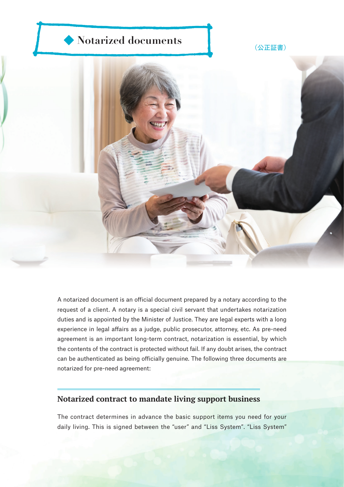## ◆ **Notarized documents** → <sub>(公正証書)</sub>



A notarized document is an official document prepared by a notary according to the request of a client. A notary is a special civil servant that undertakes notarization duties and is appointed by the Minister of Justice. They are legal experts with a long experience in legal affairs as a judge, public prosecutor, attorney, etc. As pre-need agreement is an important long-term contract, notarization is essential, by which the contents of the contract is protected without fail. If any doubt arises, the contract can be authenticated as being officially genuine. The following three documents are notarized for pre-need agreement:

## **Notarized contract to mandate living support business**

The contract determines in advance the basic support items you need for your daily living. This is signed between the "user" and "Liss System". "Liss System"